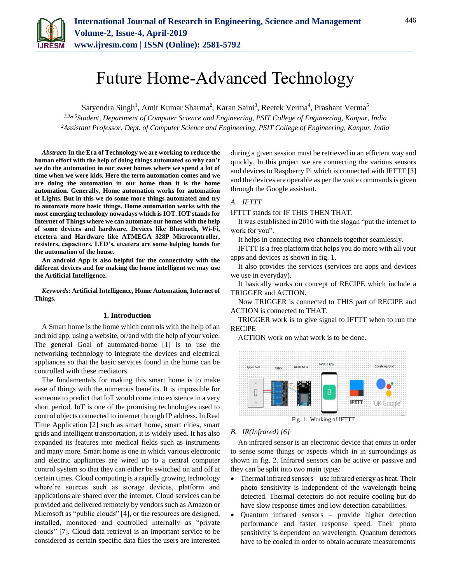

# Future Home-Advanced Technology

Satyendra Singh<sup>1</sup>, Amit Kumar Sharma<sup>2</sup>, Karan Saini<sup>3</sup>, Reetek Verma<sup>4</sup>, Prashant Verma<sup>5</sup>

*1,3,4,5Student, Department of Computer Science and Engineering, PSIT College of Engineering, Kanpur, India <sup>2</sup>Assistant Professor, Dept. of Computer Science and Engineering, PSIT College of Engineering, Kanpur, India*

*Abstract***: In the Era of Technology we are working to reduce the human effort with the help of doing things automated so why can't we do the automation in our sweet homes where we spend a lot of time when we were kids. Here the term automation comes and we are doing the automation in our home than it is the home automation. Generally, Home automation works for automation of Lights. But in this we do some more things automated and try to automate more basic things. Home automation works with the most emerging technology nowadays which is IOT. IOT stands for Internet of Things where we can automate our homes with the help of some devices and hardware. Devices like Bluetooth, Wi-Fi, etcetera and Hardware like ATMEGA 328P Microcontroller, resisters, capacitors, LED's, etcetera are some helping hands for the automation of the house.**

**An android App is also helpful for the connectivity with the different devices and for making the home intelligent we may use the Artificial Intelligence.**

*Keywords***: Artificial Intelligence, Home Automation, Internet of Things.**

#### **1. Introduction**

A Smart home is the home which controls with the help of an android app, using a website, or/and with the help of your voice. The general Goal of automated-home [1] is to use the networking technology to integrate the devices and electrical appliances so that the basic services found in the home can be controlled with these mediators.

The fundamentals for making this smart home is to make ease of things with the numerous benefits. It is impossible for someone to predict that IoT would come into existence in a very short period. IoT is one of the promising technologies used to control objects connected to internet through IP address. In Real Time Application [2] such as smart home, smart cities, smart grids and intelligent transportation, it is widely used. It has also expanded its features into medical fields such as instruments and many more. Smart home is one in which various electronic and electric appliances are wired up to a central computer control system so that they can either be switched on and off at certain times. Cloud computing is a rapidly growing technology where're sources such as storage devices, platform and applications are shared over the internet. Cloud services can be provided and delivered remotely by vendors such as Amazon or Microsoft as "public clouds" [4], or the resources are designed, installed, monitored and controlled internally as "private clouds" [7]. Cloud data retrieval is an important service to be considered as certain specific data files the users are interested during a given session must be retrieved in an efficient way and quickly. In this project we are connecting the various sensors and devices to Raspberry Pi which is connected with IFTTT [3] and the devices are operable as per the voice commands is given through the Google assistant.

#### *A. IFTTT*

IFTTT stands for IF THIS THEN THAT.

It was established in 2010 with the slogan "put the internet to work for you".

It helps in connecting two channels together seamlessly.

IFTTT is a free platform that helps you do more with all your apps and devices as shown in fig. 1.

It also provides the services (services are apps and devices we use in everyday).

It basically works on concept of RECIPE which include a TRIGGER and ACTION.

Now TRIGGER is connected to THIS part of RECIPE and ACTION is connected to THAT.

TRIGGER work is to give signal to IFTTT when to run the RECIPE

ACTION work on what work is to be done.



Fig. 1. Working of IFTTT

# *B. IR(Infrared) [6]*

An infrared sensor is an electronic device that emits in order to sense some things or aspects which in in surroundings as shown in fig. 2. Infrared sensors can be active or passive and they can be split into two main types:

- Thermal infrared sensors use infrared energy as heat. Their photo sensitivity is independent of the wavelength being detected. Thermal detectors do not require cooling but do have slow response times and low detection capabilities.
- Quantum infrared sensors provide higher detection performance and faster response speed. Their photo sensitivity is dependent on wavelength. Quantum detectors have to be cooled in order to obtain accurate measurements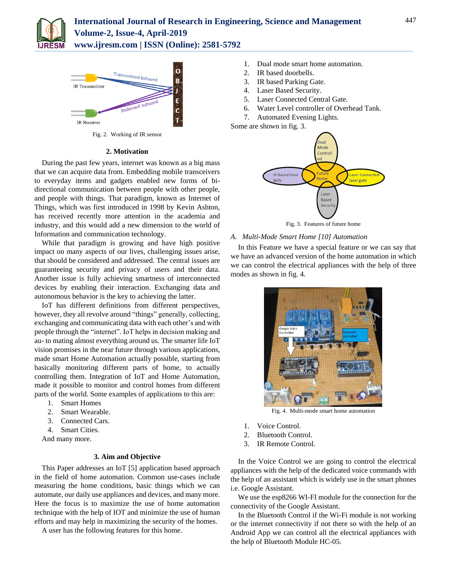

 $\overline{O}$ Transmitted Infrared B IR Transmitter Ë lected Infra Ċ IR Receiver

Fig. 2. Working of IR sensor

#### **2. Motivation**

During the past few years, internet was known as a big mass that we can acquire data from. Embedding mobile transceivers to everyday items and gadgets enabled new forms of bidirectional communication between people with other people, and people with things. That paradigm, known as Internet of Things, which was first introduced in 1998 by Kevin Ashton, has received recently more attention in the academia and industry, and this would add a new dimension to the world of Information and communication technology.

While that paradigm is growing and have high positive impact on many aspects of our lives, challenging issues arise, that should be considered and addressed. The central issues are guaranteeing security and privacy of users and their data. Another issue is fully achieving smartness of interconnected devices by enabling their interaction. Exchanging data and autonomous behavior is the key to achieving the latter.

IoT has different definitions from different perspectives, however, they all revolve around "things" generally, collecting, exchanging and communicating data with each other's and with people through the "internet". IoT helps in decision making and au- to mating almost everything around us. The smarter life IoT vision promises in the near future through various applications, made smart Home Automation actually possible, starting from basically monitoring different parts of home, to actually controlling them. Integration of IoT and Home Automation, made it possible to monitor and control homes from different parts of the world. Some examples of applications to this are:

- 1. Smart Homes
- 2. Smart Wearable.
- 3. Connected Cars.
- 4. Smart Cities.

And many more.

# **3. Aim and Objective**

This Paper addresses an IoT [5] application based approach in the field of home automation. Common use-cases include measuring the home conditions, basic things which we can automate, our daily use appliances and devices, and many more. Here the focus is to maximize the use of home automation technique with the help of IOT and minimize the use of human efforts and may help in maximizing the security of the homes.

A user has the following features for this home.

- 1. Dual mode smart home automation.
- 2. IR based doorbells.
- 3. IR based Parking Gate.
- 4. Laser Based Security.
- 5. Laser Connected Central Gate.
- 6. Water Level controller of Overhead Tank.
- 7. Automated Evening Lights.

Some are shown in fig. 3.



#### *A. Multi-Mode Smart Home [10] Automation*

In this Feature we have a special feature or we can say that we have an advanced version of the home automation in which we can control the electrical appliances with the help of three modes as shown in fig. 4.



Fig. 4. Multi-mode smart home automation

- 1. Voice Control.
- 2. Bluetooth Control.
- 3. IR Remote Control.

In the Voice Control we are going to control the electrical appliances with the help of the dedicated voice commands with the help of an assistant which is widely use in the smart phones i.e. Google Assistant.

We use the esp8266 WI-FI module for the connection for the connectivity of the Google Assistant.

In the Bluetooth Control if the Wi-Fi module is not working or the internet connectivity if not there so with the help of an Android App we can control all the electrical appliances with the help of Bluetooth Module HC-05.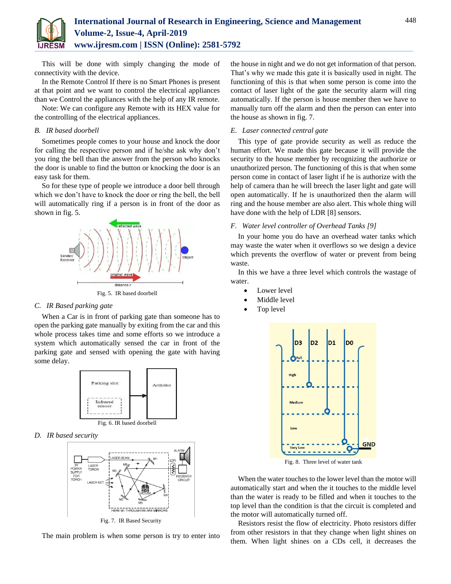

This will be done with simply changing the mode of connectivity with the device.

In the Remote Control If there is no Smart Phones is present at that point and we want to control the electrical appliances than we Control the appliances with the help of any IR remote.

Note: We can configure any Remote with its HEX value for the controlling of the electrical appliances.

#### *B. IR based doorbell*

Sometimes people comes to your house and knock the door for calling the respective person and if he/she ask why don't you ring the bell than the answer from the person who knocks the door is unable to find the button or knocking the door is an easy task for them.

So for these type of people we introduce a door bell through which we don't have to knock the door or ring the bell, the bell will automatically ring if a person is in front of the door as shown in fig. 5.



Fig. 5. IR based doorbell

#### *C. IR Based parking gate*

When a Car is in front of parking gate than someone has to open the parking gate manually by exiting from the car and this whole process takes time and some efforts so we introduce a system which automatically sensed the car in front of the parking gate and sensed with opening the gate with having some delay.



Fig. 6. IR based doorbell

*D. IR based security*



The main problem is when some person is try to enter into

the house in night and we do not get information of that person. That's why we made this gate it is basically used in night. The functioning of this is that when some person is come into the contact of laser light of the gate the security alarm will ring automatically. If the person is house member then we have to manually turn off the alarm and then the person can enter into the house as shown in fig. 7.

# *E. Laser connected central gate*

This type of gate provide security as well as reduce the human effort. We made this gate because it will provide the security to the house member by recognizing the authorize or unauthorized person. The functioning of this is that when some person come in contact of laser light if he is authorize with the help of camera than he will breech the laser light and gate will open automatically. If he is unauthorized then the alarm will ring and the house member are also alert. This whole thing will have done with the help of LDR [8] sensors.

# *F. Water level controller of Overhead Tanks [9]*

In your home you do have an overhead water tanks which may waste the water when it overflows so we design a device which prevents the overflow of water or prevent from being waste.

In this we have a three level which controls the wastage of water.

- Lower level
- Middle level
- Top level



Fig. 8. Three level of water tank

When the water touches to the lower level than the motor will automatically start and when the it touches to the middle level than the water is ready to be filled and when it touches to the top level than the condition is that the circuit is completed and the motor will automatically turned off.

Resistors resist the flow of electricity. Photo resistors differ from other resistors in that they change when light shines on them. When light shines on a CDs cell, it decreases the